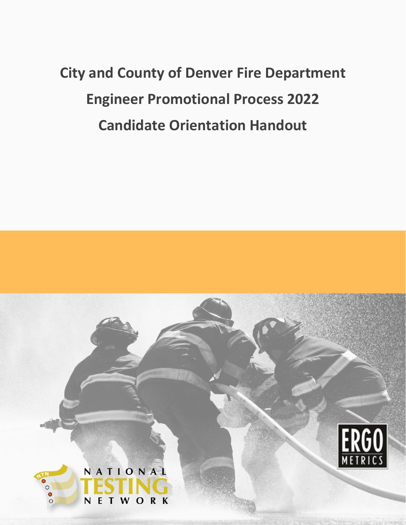# **City and County of Denver Fire Department Engineer Promotional Process 2022 Candidate Orientation Handout**

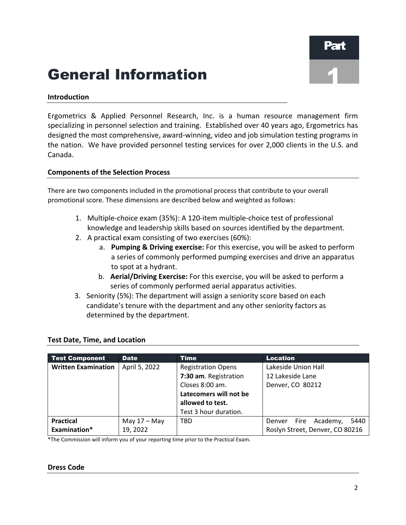1

# General Information

#### **Introduction**

Ergometrics & Applied Personnel Research, Inc. is a human resource management firm specializing in personnel selection and training. Established over 40 years ago, Ergometrics has designed the most comprehensive, award-winning, video and job simulation testing programs in the nation. We have provided personnel testing services for over 2,000 clients in the U.S. and Canada.

#### **Components of the Selection Process**

There are two components included in the promotional process that contribute to your overall promotional score. These dimensions are described below and weighted as follows:

- 1. Multiple-choice exam (35%): A 120-item multiple-choice test of professional knowledge and leadership skills based on sources identified by the department.
- 2. A practical exam consisting of two exercises (60%):
	- a. **Pumping & Driving exercise:** For this exercise, you will be asked to perform a series of commonly performed pumping exercises and drive an apparatus to spot at a hydrant.
	- b. **Aerial/Driving Exercise:** For this exercise, you will be asked to perform a series of commonly performed aerial apparatus activities.
- 3. Seniority (5%): The department will assign a seniority score based on each candidate's tenure with the department and any other seniority factors as determined by the department.

| <b>Test Component</b>      | <b>Date</b>    | <b>Time</b>               | Location                        |
|----------------------------|----------------|---------------------------|---------------------------------|
| <b>Written Examination</b> | April 5, 2022  | <b>Registration Opens</b> | Lakeside Union Hall             |
|                            |                | 7:30 am. Registration     | 12 Lakeside Lane                |
|                            |                | Closes 8:00 am.           | Denver, CO 80212                |
|                            |                | Latecomers will not be    |                                 |
|                            |                | allowed to test.          |                                 |
|                            |                | Test 3 hour duration.     |                                 |
| <b>Practical</b>           | May $17 -$ May | <b>TBD</b>                | 5440<br>Fire Academy,<br>Denver |
| Examination*               | 19, 2022       |                           | Roslyn Street, Denver, CO 80216 |

#### **Test Date, Time, and Location**

\*The Commission will inform you of your reporting time prior to the Practical Exam.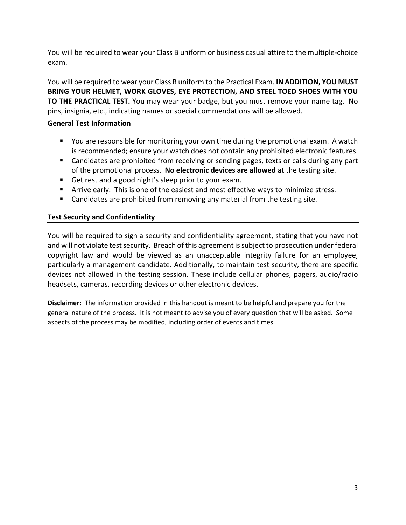You will be required to wear your Class B uniform or business casual attire to the multiple-choice exam.

You will be required to wear your Class B uniform to the Practical Exam. **IN ADDITION, YOU MUST BRING YOUR HELMET, WORK GLOVES, EYE PROTECTION, AND STEEL TOED SHOES WITH YOU TO THE PRACTICAL TEST.** You may wear your badge, but you must remove your name tag. No pins, insignia, etc., indicating names or special commendations will be allowed.

#### **General Test Information**

- You are responsible for monitoring your own time during the promotional exam. A watch is recommended; ensure your watch does not contain any prohibited electronic features.
- Candidates are prohibited from receiving or sending pages, texts or calls during any part of the promotional process. **No electronic devices are allowed** at the testing site.
- Get rest and a good night's sleep prior to your exam.
- Arrive early. This is one of the easiest and most effective ways to minimize stress.
- **EXTE:** Candidates are prohibited from removing any material from the testing site.

#### **Test Security and Confidentiality**

You will be required to sign a security and confidentiality agreement, stating that you have not and will not violate test security. Breach of this agreement is subject to prosecution under federal copyright law and would be viewed as an unacceptable integrity failure for an employee, particularly a management candidate. Additionally, to maintain test security, there are specific devices not allowed in the testing session. These include cellular phones, pagers, audio/radio headsets, cameras, recording devices or other electronic devices.

**Disclaimer:** The information provided in this handout is meant to be helpful and prepare you for the general nature of the process. It is not meant to advise you of every question that will be asked. Some aspects of the process may be modified, including order of events and times.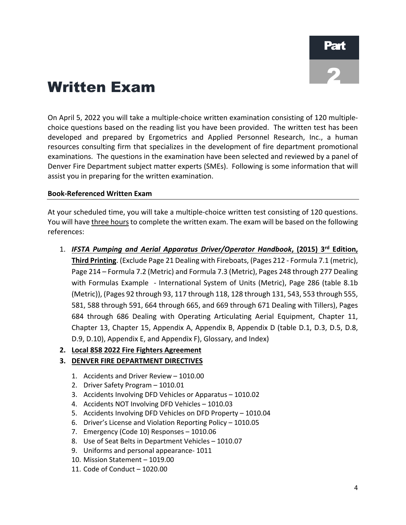# Written Exam

On April 5, 2022 you will take a multiple-choice written examination consisting of 120 multiplechoice questions based on the reading list you have been provided. The written test has been developed and prepared by Ergometrics and Applied Personnel Research, Inc., a human resources consulting firm that specializes in the development of fire department promotional examinations. The questions in the examination have been selected and reviewed by a panel of Denver Fire Department subject matter experts (SMEs). Following is some information that will assist you in preparing for the written examination.

#### **Book-Referenced Written Exam**

At your scheduled time, you will take a multiple-choice written test consisting of 120 questions. You will have three hours to complete the written exam. The exam will be based on the following references:

- 1. *IFSTA Pumping and Aerial Apparatus Driver/Operator Handbook***, (2015) 3rd Edition, Third Printing**. (Exclude Page 21 Dealing with Fireboats, (Pages 212 - Formula 7.1 (metric), Page 214 – Formula 7.2 (Metric) and Formula 7.3 (Metric), Pages 248 through 277 Dealing with Formulas Example - International System of Units (Metric), Page 286 (table 8.1b (Metric)), (Pages 92 through 93, 117 through 118, 128 through 131, 543, 553 through 555, 581, 588 through 591, 664 through 665, and 669 through 671 Dealing with Tillers), Pages 684 through 686 Dealing with Operating Articulating Aerial Equipment, Chapter 11, Chapter 13, Chapter 15, Appendix A, Appendix B, Appendix D (table D.1, D.3, D.5, D.8, D.9, D.10), Appendix E, and Appendix F), Glossary, and Index)
- **2. Local 858 2022 Fire Fighters Agreement**

#### **3. DENVER FIRE DEPARTMENT DIRECTIVES**

- 1. Accidents and Driver Review 1010.00
- 2. Driver Safety Program 1010.01
- 3. Accidents Involving DFD Vehicles or Apparatus 1010.02
- 4. Accidents NOT Involving DFD Vehicles 1010.03
- 5. Accidents Involving DFD Vehicles on DFD Property 1010.04
- 6. Driver's License and Violation Reporting Policy 1010.05
- 7. Emergency (Code 10) Responses 1010.06
- 8. Use of Seat Belts in Department Vehicles 1010.07
- 9. Uniforms and personal appearance- 1011
- 10. Mission Statement 1019.00
- 11. Code of Conduct 1020.00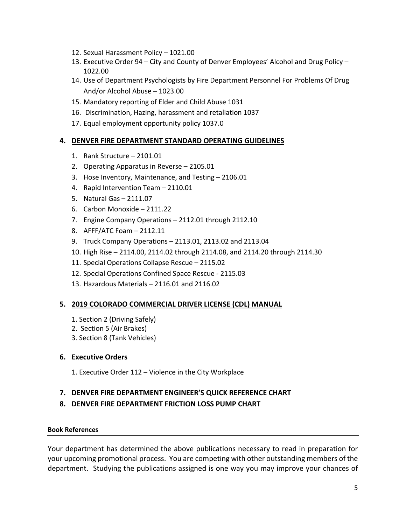- 12. Sexual Harassment Policy 1021.00
- 13. Executive Order 94 City and County of Denver Employees' Alcohol and Drug Policy 1022.00
- 14. Use of Department Psychologists by Fire Department Personnel For Problems Of Drug And/or Alcohol Abuse – 1023.00
- 15. Mandatory reporting of Elder and Child Abuse 1031
- 16. Discrimination, Hazing, harassment and retaliation 1037
- 17. Equal employment opportunity policy 1037.0

#### **4. DENVER FIRE DEPARTMENT STANDARD OPERATING GUIDELINES**

- 1. Rank Structure 2101.01
- 2. Operating Apparatus in Reverse 2105.01
- 3. Hose Inventory, Maintenance, and Testing 2106.01
- 4. Rapid Intervention Team 2110.01
- 5. Natural Gas 2111.07
- 6. Carbon Monoxide 2111.22
- 7. Engine Company Operations 2112.01 through 2112.10
- 8. AFFF/ATC Foam 2112.11
- 9. Truck Company Operations 2113.01, 2113.02 and 2113.04
- 10. High Rise 2114.00, 2114.02 through 2114.08, and 2114.20 through 2114.30
- 11. Special Operations Collapse Rescue 2115.02
- 12. Special Operations Confined Space Rescue 2115.03
- 13. Hazardous Materials 2116.01 and 2116.02

#### **5. 2019 COLORADO COMMERCIAL DRIVER LICENSE (CDL) MANUAL**

- 1. Section 2 (Driving Safely)
- 2. Section 5 (Air Brakes)
- 3. Section 8 (Tank Vehicles)

#### **6. Executive Orders**

1. Executive Order 112 – Violence in the City Workplace

#### **7. DENVER FIRE DEPARTMENT ENGINEER'S QUICK REFERENCE CHART**

#### **8. DENVER FIRE DEPARTMENT FRICTION LOSS PUMP CHART**

#### **Book References**

Your department has determined the above publications necessary to read in preparation for your upcoming promotional process. You are competing with other outstanding members of the department. Studying the publications assigned is one way you may improve your chances of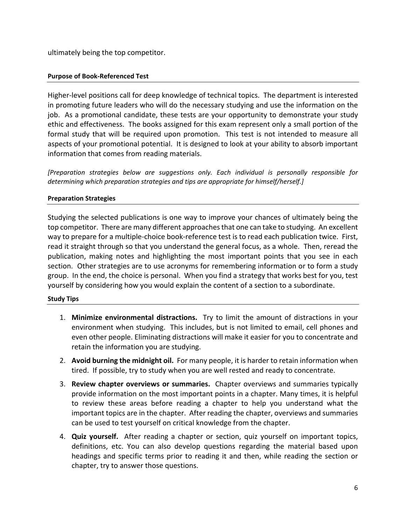ultimately being the top competitor.

#### **Purpose of Book-Referenced Test**

Higher-level positions call for deep knowledge of technical topics. The department is interested in promoting future leaders who will do the necessary studying and use the information on the job. As a promotional candidate, these tests are your opportunity to demonstrate your study ethic and effectiveness. The books assigned for this exam represent only a small portion of the formal study that will be required upon promotion. This test is not intended to measure all aspects of your promotional potential. It is designed to look at your ability to absorb important information that comes from reading materials.

*[Preparation strategies below are suggestions only. Each individual is personally responsible for determining which preparation strategies and tips are appropriate for himself/herself.]*

#### **Preparation Strategies**

Studying the selected publications is one way to improve your chances of ultimately being the top competitor. There are many different approaches that one can take to studying. An excellent way to prepare for a multiple-choice book-reference test is to read each publication twice. First, read it straight through so that you understand the general focus, as a whole. Then, reread the publication, making notes and highlighting the most important points that you see in each section. Other strategies are to use acronyms for remembering information or to form a study group. In the end, the choice is personal. When you find a strategy that works best for you, test yourself by considering how you would explain the content of a section to a subordinate.

#### **Study Tips**

- 1. **Minimize environmental distractions.** Try to limit the amount of distractions in your environment when studying. This includes, but is not limited to email, cell phones and even other people. Eliminating distractions will make it easier for you to concentrate and retain the information you are studying.
- 2. **Avoid burning the midnight oil.** For many people, it is harder to retain information when tired. If possible, try to study when you are well rested and ready to concentrate.
- 3. **Review chapter overviews or summaries.** Chapter overviews and summaries typically provide information on the most important points in a chapter. Many times, it is helpful to review these areas before reading a chapter to help you understand what the important topics are in the chapter. After reading the chapter, overviews and summaries can be used to test yourself on critical knowledge from the chapter.
- 4. **Quiz yourself.** After reading a chapter or section, quiz yourself on important topics, definitions, etc. You can also develop questions regarding the material based upon headings and specific terms prior to reading it and then, while reading the section or chapter, try to answer those questions.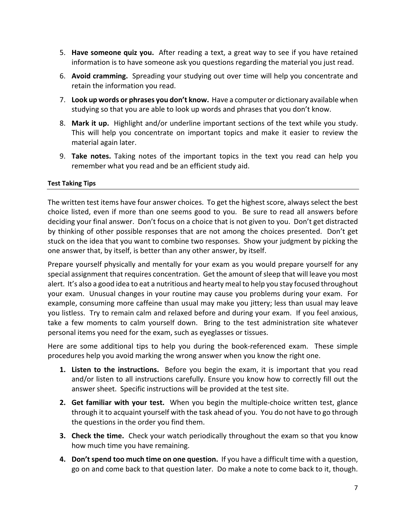- 5. **Have someone quiz you.** After reading a text, a great way to see if you have retained information is to have someone ask you questions regarding the material you just read.
- 6. **Avoid cramming.** Spreading your studying out over time will help you concentrate and retain the information you read.
- 7. **Look up words or phrases you don't know.** Have a computer or dictionary available when studying so that you are able to look up words and phrases that you don't know.
- 8. **Mark it up.** Highlight and/or underline important sections of the text while you study. This will help you concentrate on important topics and make it easier to review the material again later.
- 9. **Take notes.** Taking notes of the important topics in the text you read can help you remember what you read and be an efficient study aid.

#### **Test Taking Tips**

The written test items have four answer choices. To get the highest score, always select the best choice listed, even if more than one seems good to you. Be sure to read all answers before deciding your final answer. Don't focus on a choice that is not given to you. Don't get distracted by thinking of other possible responses that are not among the choices presented. Don't get stuck on the idea that you want to combine two responses. Show your judgment by picking the one answer that, by itself, is better than any other answer, by itself.

Prepare yourself physically and mentally for your exam as you would prepare yourself for any special assignment that requires concentration. Get the amount of sleep that will leave you most alert. It's also a good idea to eat a nutritious and hearty meal to help you stay focused throughout your exam. Unusual changes in your routine may cause you problems during your exam. For example, consuming more caffeine than usual may make you jittery; less than usual may leave you listless. Try to remain calm and relaxed before and during your exam. If you feel anxious, take a few moments to calm yourself down. Bring to the test administration site whatever personal items you need for the exam, such as eyeglasses or tissues.

Here are some additional tips to help you during the book-referenced exam. These simple procedures help you avoid marking the wrong answer when you know the right one.

- **1. Listen to the instructions.** Before you begin the exam, it is important that you read and/or listen to all instructions carefully. Ensure you know how to correctly fill out the answer sheet. Specific instructions will be provided at the test site.
- **2. Get familiar with your test.** When you begin the multiple-choice written test, glance through it to acquaint yourself with the task ahead of you. You do not have to go through the questions in the order you find them.
- **3. Check the time.** Check your watch periodically throughout the exam so that you know how much time you have remaining.
- **4. Don't spend too much time on one question.** If you have a difficult time with a question, go on and come back to that question later. Do make a note to come back to it, though.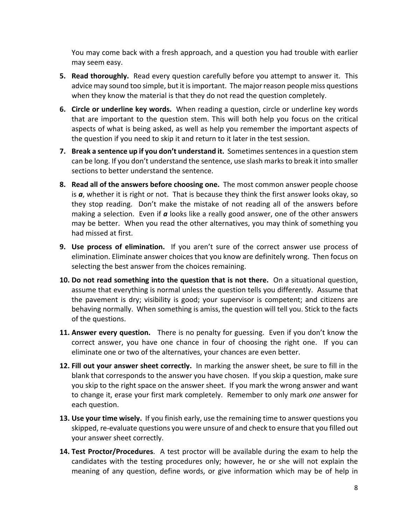You may come back with a fresh approach, and a question you had trouble with earlier may seem easy.

- **5. Read thoroughly.** Read every question carefully before you attempt to answer it. This advice may sound too simple, but it is important. The major reason people miss questions when they know the material is that they do not read the question completely.
- **6. Circle or underline key words.** When reading a question, circle or underline key words that are important to the question stem. This will both help you focus on the critical aspects of what is being asked, as well as help you remember the important aspects of the question if you need to skip it and return to it later in the test session.
- **7. Break a sentence up if you don't understand it.** Sometimes sentences in a question stem can be long. If you don't understand the sentence, use slash marks to break it into smaller sections to better understand the sentence.
- **8. Read all of the answers before choosing one.** The most common answer people choose is *a*, whether it is right or not. That is because they think the first answer looks okay, so they stop reading. Don't make the mistake of not reading all of the answers before making a selection. Even if *a* looks like a really good answer, one of the other answers may be better. When you read the other alternatives, you may think of something you had missed at first.
- **9. Use process of elimination.** If you aren't sure of the correct answer use process of elimination. Eliminate answer choices that you know are definitely wrong. Then focus on selecting the best answer from the choices remaining.
- **10. Do not read something into the question that is not there.** On a situational question, assume that everything is normal unless the question tells you differently. Assume that the pavement is dry; visibility is good; your supervisor is competent; and citizens are behaving normally. When something is amiss, the question will tell you. Stick to the facts of the questions.
- **11. Answer every question.** There is no penalty for guessing. Even if you don't know the correct answer, you have one chance in four of choosing the right one. If you can eliminate one or two of the alternatives, your chances are even better.
- **12. Fill out your answer sheet correctly.** In marking the answer sheet, be sure to fill in the blank that corresponds to the answer you have chosen. If you skip a question, make sure you skip to the right space on the answer sheet. If you mark the wrong answer and want to change it, erase your first mark completely. Remember to only mark *one* answer for each question.
- **13. Use your time wisely.** If you finish early, use the remaining time to answer questions you skipped, re-evaluate questions you were unsure of and check to ensure that you filled out your answer sheet correctly.
- **14. Test Proctor/Procedures**. A test proctor will be available during the exam to help the candidates with the testing procedures only; however, he or she will not explain the meaning of any question, define words, or give information which may be of help in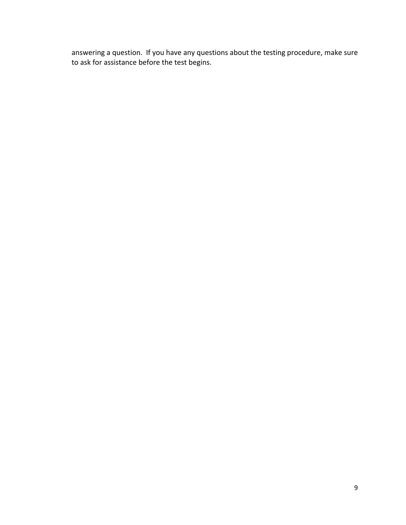answering a question. If you have any questions about the testing procedure, make sure to ask for assistance before the test begins.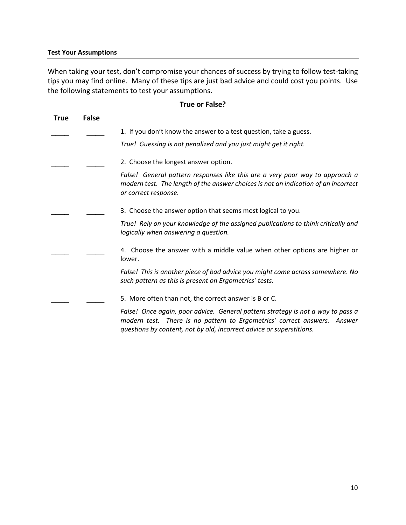When taking your test, don't compromise your chances of success by trying to follow test-taking tips you may find online. Many of these tips are just bad advice and could cost you points. Use the following statements to test your assumptions.

#### **True or False?**

| <b>True</b> | <b>False</b> |                                                                                                                                                                                                                                     |
|-------------|--------------|-------------------------------------------------------------------------------------------------------------------------------------------------------------------------------------------------------------------------------------|
|             |              | 1. If you don't know the answer to a test question, take a guess.                                                                                                                                                                   |
|             |              | True! Guessing is not penalized and you just might get it right.                                                                                                                                                                    |
|             |              | 2. Choose the longest answer option.                                                                                                                                                                                                |
|             |              | False! General pattern responses like this are a very poor way to approach a<br>modern test. The length of the answer choices is not an indication of an incorrect<br>or correct response.                                          |
|             |              | 3. Choose the answer option that seems most logical to you.                                                                                                                                                                         |
|             |              | True! Rely on your knowledge of the assigned publications to think critically and<br>logically when answering a question.                                                                                                           |
|             |              | 4. Choose the answer with a middle value when other options are higher or<br>lower.                                                                                                                                                 |
|             |              | False! This is another piece of bad advice you might come across somewhere. No<br>such pattern as this is present on Ergometrics' tests.                                                                                            |
|             |              | 5. More often than not, the correct answer is B or C.                                                                                                                                                                               |
|             |              | False! Once again, poor advice. General pattern strategy is not a way to pass a<br>modern test. There is no pattern to Ergometrics' correct answers. Answer<br>questions by content, not by old, incorrect advice or superstitions. |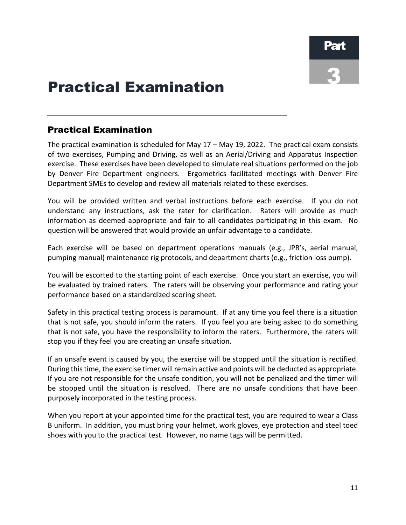## Practical Examination

### Practical Examination

The practical examination is scheduled for May 17 – May 19, 2022. The practical exam consists of two exercises, Pumping and Driving, as well as an Aerial/Driving and Apparatus Inspection exercise. These exercises have been developed to simulate real situations performed on the job by Denver Fire Department engineers. Ergometrics facilitated meetings with Denver Fire Department SMEs to develop and review all materials related to these exercises.

You will be provided written and verbal instructions before each exercise. If you do not understand any instructions, ask the rater for clarification. Raters will provide as much information as deemed appropriate and fair to all candidates participating in this exam. No question will be answered that would provide an unfair advantage to a candidate.

Each exercise will be based on department operations manuals (e.g., JPR's, aerial manual, pumping manual) maintenance rig protocols, and department charts (e.g., friction loss pump).

You will be escorted to the starting point of each exercise. Once you start an exercise, you will be evaluated by trained raters. The raters will be observing your performance and rating your performance based on a standardized scoring sheet.

Safety in this practical testing process is paramount. If at any time you feel there is a situation that is not safe, you should inform the raters. If you feel you are being asked to do something that is not safe, you have the responsibility to inform the raters. Furthermore, the raters will stop you if they feel you are creating an unsafe situation.

If an unsafe event is caused by you, the exercise will be stopped until the situation is rectified. During this time, the exercise timer will remain active and points will be deducted as appropriate. If you are not responsible for the unsafe condition, you will not be penalized and the timer will be stopped until the situation is resolved. There are no unsafe conditions that have been purposely incorporated in the testing process.

When you report at your appointed time for the practical test, you are required to wear a Class B uniform. In addition, you must bring your helmet, work gloves, eye protection and steel toed shoes with you to the practical test. However, no name tags will be permitted.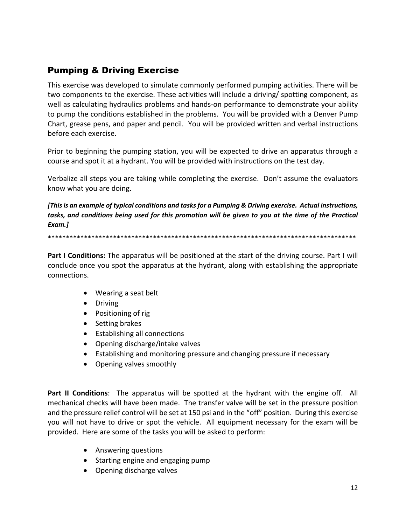### Pumping & Driving Exercise

This exercise was developed to simulate commonly performed pumping activities. There will be two components to the exercise. These activities will include a driving/ spotting component, as well as calculating hydraulics problems and hands-on performance to demonstrate your ability to pump the conditions established in the problems. You will be provided with a Denver Pump Chart, grease pens, and paper and pencil. You will be provided written and verbal instructions before each exercise.

Prior to beginning the pumping station, you will be expected to drive an apparatus through a course and spot it at a hydrant. You will be provided with instructions on the test day.

Verbalize all steps you are taking while completing the exercise. Don't assume the evaluators know what you are doing.

*[This is an example of typical conditions and tasks for a Pumping & Driving exercise. Actual instructions, tasks, and conditions being used for this promotion will be given to you at the time of the Practical Exam.]*

\*\*\*\*\*\*\*\*\*\*\*\*\*\*\*\*\*\*\*\*\*\*\*\*\*\*\*\*\*\*\*\*\*\*\*\*\*\*\*\*\*\*\*\*\*\*\*\*\*\*\*\*\*\*\*\*\*\*\*\*\*\*\*\*\*\*\*\*\*\*\*\*\*\*\*\*\*\*\*\*\*\*\*\*\*

**Part I Conditions:** The apparatus will be positioned at the start of the driving course. Part I will conclude once you spot the apparatus at the hydrant, along with establishing the appropriate connections.

- Wearing a seat belt
- Driving
- Positioning of rig
- Setting brakes
- Establishing all connections
- Opening discharge/intake valves
- Establishing and monitoring pressure and changing pressure if necessary
- Opening valves smoothly

**Part II Conditions**: The apparatus will be spotted at the hydrant with the engine off. All mechanical checks will have been made. The transfer valve will be set in the pressure position and the pressure relief control will be set at 150 psi and in the "off" position. During this exercise you will not have to drive or spot the vehicle. All equipment necessary for the exam will be provided. Here are some of the tasks you will be asked to perform:

- Answering questions
- Starting engine and engaging pump
- Opening discharge valves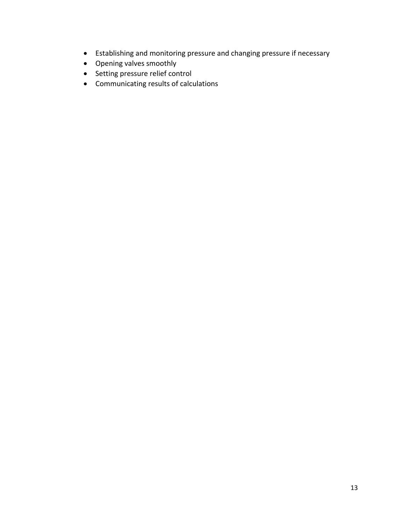- Establishing and monitoring pressure and changing pressure if necessary
- Opening valves smoothly
- Setting pressure relief control
- Communicating results of calculations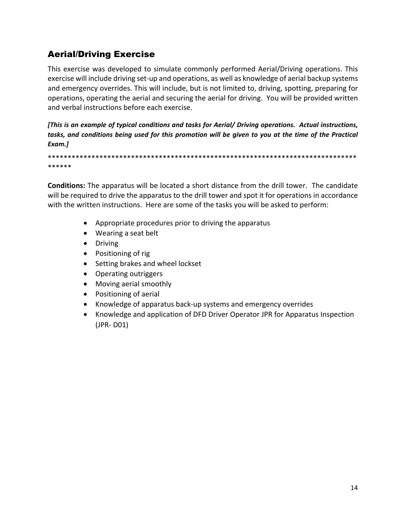### Aerial/Driving Exercise

This exercise was developed to simulate commonly performed Aerial/Driving operations. This exercise will include driving set-up and operations, as well as knowledge of aerial backup systems and emergency overrides. This will include, but is not limited to, driving, spotting, preparing for operations, operating the aerial and securing the aerial for driving. You will be provided written and verbal instructions before each exercise.

*[This is an example of typical conditions and tasks for Aerial/ Driving operations. Actual instructions, tasks, and conditions being used for this promotion will be given to you at the time of the Practical Exam.]*

\*\*\*\*\*\*\*\*\*\*\*\*\*\*\*\*\*\*\*\*\*\*\*\*\*\*\*\*\*\*\*\*\*\*\*\*\*\*\*\*\*\*\*\*\*\*\*\*\*\*\*\*\*\*\*\*\*\*\*\*\*\*\*\*\*\*\*\*\*\*\*\*\*\*\*\*\*\* \*\*\*\*\*\*

**Conditions:** The apparatus will be located a short distance from the drill tower. The candidate will be required to drive the apparatus to the drill tower and spot it for operations in accordance with the written instructions. Here are some of the tasks you will be asked to perform:

- Appropriate procedures prior to driving the apparatus
- Wearing a seat belt
- Driving
- Positioning of rig
- Setting brakes and wheel lockset
- Operating outriggers
- Moving aerial smoothly
- Positioning of aerial
- Knowledge of apparatus back-up systems and emergency overrides
- Knowledge and application of DFD Driver Operator JPR for Apparatus Inspection (JPR- D01)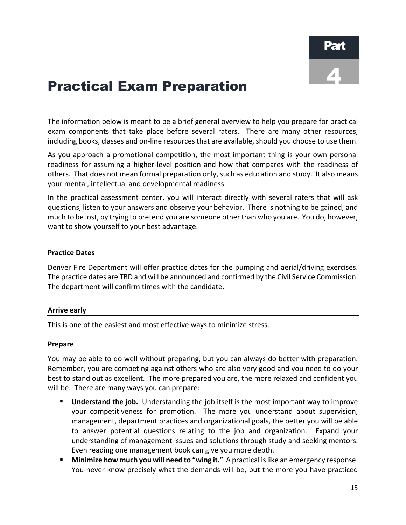### Practical Exam Preparation

The information below is meant to be a brief general overview to help you prepare for practical exam components that take place before several raters. There are many other resources, including books, classes and on-line resources that are available, should you choose to use them.

As you approach a promotional competition, the most important thing is your own personal readiness for assuming a higher-level position and how that compares with the readiness of others. That does not mean formal preparation only, such as education and study. It also means your mental, intellectual and developmental readiness.

In the practical assessment center, you will interact directly with several raters that will ask questions, listen to your answers and observe your behavior. There is nothing to be gained, and much to be lost, by trying to pretend you are someone other than who you are. You do, however, want to show yourself to your best advantage.

#### **Practice Dates**

Denver Fire Department will offer practice dates for the pumping and aerial/driving exercises. The practice dates are TBD and will be announced and confirmed by the Civil Service Commission. The department will confirm times with the candidate.

#### **Arrive early**

This is one of the easiest and most effective ways to minimize stress.

#### **Prepare**

You may be able to do well without preparing, but you can always do better with preparation. Remember, you are competing against others who are also very good and you need to do your best to stand out as excellent. The more prepared you are, the more relaxed and confident you will be. There are many ways you can prepare:

- **Understand the job.** Understanding the job itself is the most important way to improve your competitiveness for promotion. The more you understand about supervision, management, department practices and organizational goals, the better you will be able to answer potential questions relating to the job and organization. Expand your understanding of management issues and solutions through study and seeking mentors. Even reading one management book can give you more depth.
- **Minimize how much you will need to "wing it."** A practical is like an emergency response. You never know precisely what the demands will be, but the more you have practiced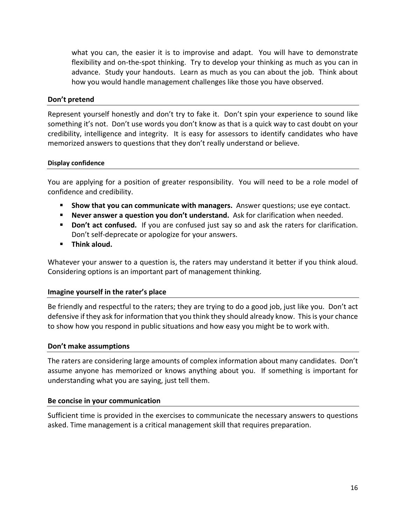what you can, the easier it is to improvise and adapt. You will have to demonstrate flexibility and on-the-spot thinking. Try to develop your thinking as much as you can in advance. Study your handouts. Learn as much as you can about the job. Think about how you would handle management challenges like those you have observed.

#### **Don't pretend**

Represent yourself honestly and don't try to fake it. Don't spin your experience to sound like something it's not. Don't use words you don't know as that is a quick way to cast doubt on your credibility, intelligence and integrity. It is easy for assessors to identify candidates who have memorized answers to questions that they don't really understand or believe.

#### **Display confidence**

You are applying for a position of greater responsibility. You will need to be a role model of confidence and credibility.

- **Show that you can communicate with managers.** Answer questions; use eye contact.
- **Never answer a question you don't understand.** Ask for clarification when needed.
- **Don't act confused.** If you are confused just say so and ask the raters for clarification. Don't self-deprecate or apologize for your answers.
- **Think aloud.**

Whatever your answer to a question is, the raters may understand it better if you think aloud. Considering options is an important part of management thinking.

#### **Imagine yourself in the rater's place**

Be friendly and respectful to the raters; they are trying to do a good job, just like you. Don't act defensive if they ask for information that you think they should already know. This is your chance to show how you respond in public situations and how easy you might be to work with.

#### **Don't make assumptions**

The raters are considering large amounts of complex information about many candidates. Don't assume anyone has memorized or knows anything about you. If something is important for understanding what you are saying, just tell them.

#### **Be concise in your communication**

Sufficient time is provided in the exercises to communicate the necessary answers to questions asked. Time management is a critical management skill that requires preparation.